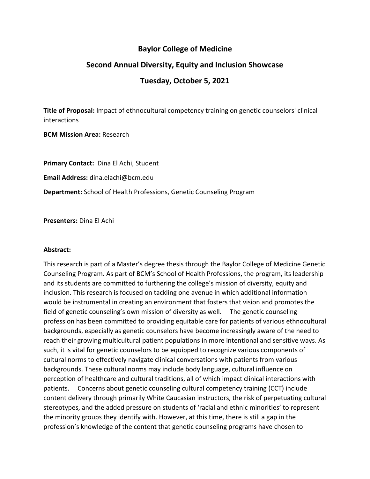## **Baylor College of Medicine**

## **Second Annual Diversity, Equity and Inclusion Showcase**

## **Tuesday, October 5, 2021**

**Title of Proposal:** Impact of ethnocultural competency training on genetic counselors' clinical interactions

**BCM Mission Area:** Research

**Primary Contact:** Dina El Achi, Student **Email Address:** dina.elachi@bcm.edu **Department:** School of Health Professions, Genetic Counseling Program

**Presenters:** Dina El Achi

## **Abstract:**

This research is part of a Master's degree thesis through the Baylor College of Medicine Genetic Counseling Program. As part of BCM's School of Health Professions, the program, its leadership and its students are committed to furthering the college's mission of diversity, equity and inclusion. This research is focused on tackling one avenue in which additional information would be instrumental in creating an environment that fosters that vision and promotes the field of genetic counseling's own mission of diversity as well. The genetic counseling profession has been committed to providing equitable care for patients of various ethnocultural backgrounds, especially as genetic counselors have become increasingly aware of the need to reach their growing multicultural patient populations in more intentional and sensitive ways. As such, it is vital for genetic counselors to be equipped to recognize various components of cultural norms to effectively navigate clinical conversations with patients from various backgrounds. These cultural norms may include body language, cultural influence on perception of healthcare and cultural traditions, all of which impact clinical interactions with patients. Concerns about genetic counseling cultural competency training (CCT) include content delivery through primarily White Caucasian instructors, the risk of perpetuating cultural stereotypes, and the added pressure on students of 'racial and ethnic minorities' to represent the minority groups they identify with. However, at this time, there is still a gap in the profession's knowledge of the content that genetic counseling programs have chosen to